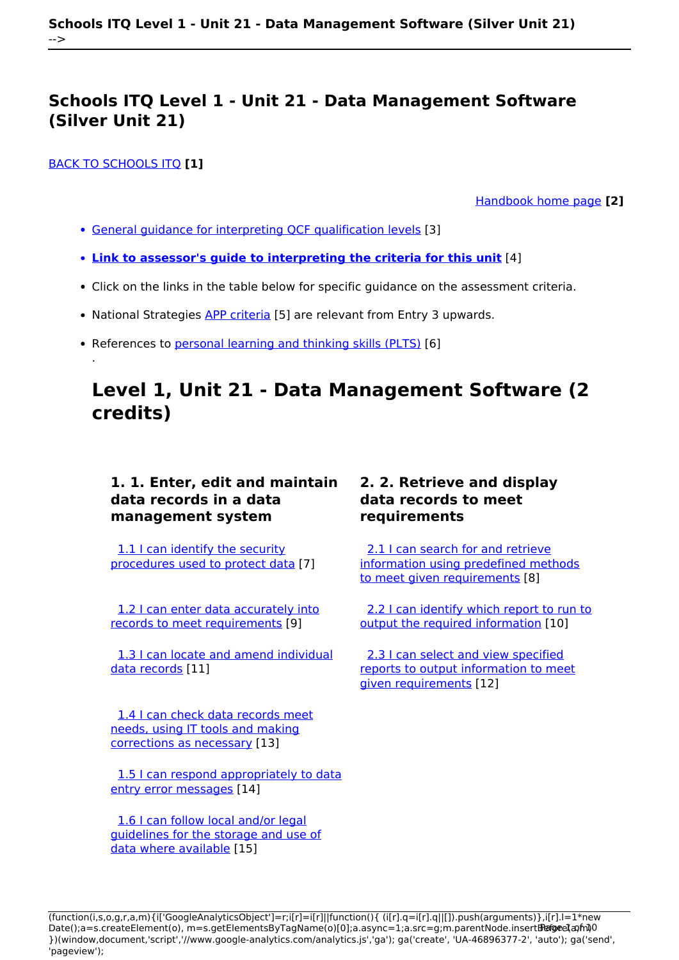#### [BACK TO SCHOOLS ITQ](https://theingots.org/community/ITQ_unit_development) **[1]**

.

[Handbook home page](https://theingots.org/community/handbook2) **[2]**

- [General guidance for interpreting QCF qualification levels](https://theingots.org/community/QCF_levels) [3]
- **[Link to assessor's guide to interpreting the criteria for this unit](https://theingots.org/community/SIL1U11X)** [4]
- Click on the links in the table below for specific guidance on the assessment criteria.
- National Strategies **[APP criteria](http://nationalstrategies.standards.dcsf.gov.uk/focuses/959/861/110166)** [5] are relevant from Entry 3 upwards.
- References to [personal learning and thinking skills \(PLTS\)](http://curriculum.qcda.gov.uk/key-stages-3-and-4/skills/plts/planning-for-plts/index.aspx) [6]

## **Level 1, Unit 21 - Data Management Software (2 credits)**

### **1. 1. Enter, edit and maintain data records in a data management system**

 [1.1 I can identify the security](https://theingots.org/community/sil1u21x#1.1) [procedures used to protect data](https://theingots.org/community/sil1u21x#1.1) [7]

[1.2 I can enter data accurately into](https://theingots.org/community/sil1u21x#1.2) [records to meet requirements](https://theingots.org/community/sil1u21x#1.2) [9]

 [1.3 I can locate and amend individual](https://theingots.org/community/sil1u21x#1.3) [data records](https://theingots.org/community/sil1u21x#1.3) [11]

[1.4 I can check data records meet](https://theingots.org/community/sil1u21x#1.4) [needs, using IT tools and making](https://theingots.org/community/sil1u21x#1.4) [corrections as necessary](https://theingots.org/community/sil1u21x#1.4) [13]

 [1.5 I can respond appropriately to data](https://theingots.org/community/sil1u21x#1.5) [entry error messages](https://theingots.org/community/sil1u21x#1.5) [14]

 [1.6 I can follow local and/or legal](https://theingots.org/community/sil1u21x#1.6) [guidelines for the storage and use of](https://theingots.org/community/sil1u21x#1.6) [data where available](https://theingots.org/community/sil1u21x#1.6) [15]

### **2. 2. Retrieve and display data records to meet requirements**

[2.1 I can search for and retrieve](https://theingots.org/community/sil1u21x#2.1) [information using predefined methods](https://theingots.org/community/sil1u21x#2.1) [to meet given requirements](https://theingots.org/community/sil1u21x#2.1) [8]

[2.2 I can identify which report to run to](https://theingots.org/community/sil1u21x#2.2) [output the required information](https://theingots.org/community/sil1u21x#2.2) [10]

 [2.3 I can select and view specified](https://theingots.org/community/sil1u21x#2.3) [reports to output information to meet](https://theingots.org/community/sil1u21x#2.3) [given requirements](https://theingots.org/community/sil1u21x#2.3) [12]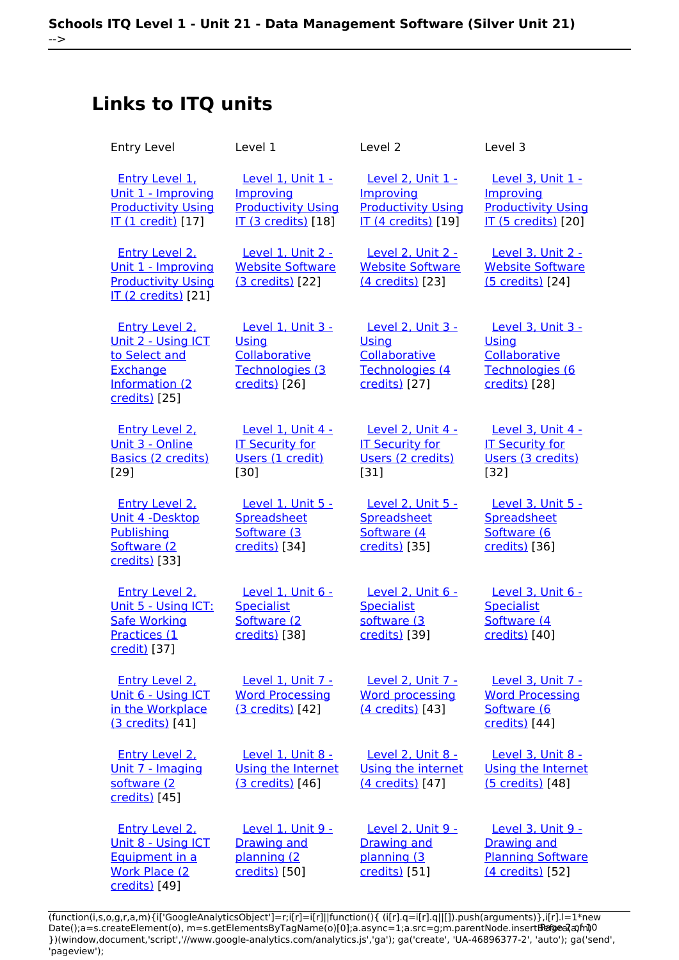# **Links to ITQ units**

| <b>Entry Level</b>                                                                                          | Level 1                                                                                          | Level 2                                                                                   | Level 3                                                                                   |
|-------------------------------------------------------------------------------------------------------------|--------------------------------------------------------------------------------------------------|-------------------------------------------------------------------------------------------|-------------------------------------------------------------------------------------------|
| <b>Entry Level 1.</b><br><u>Unit 1 - Improving</u><br><b>Productivity Using</b><br>IT (1 credit) [17]       | Level 1, Unit 1 -<br><b>Improving</b><br><b>Productivity Using</b><br><b>IT (3 credits)</b> [18] | Level 2, Unit 1 -<br>Improving<br><b>Productivity Using</b><br><b>IT (4 credits)</b> [19] | Level 3, Unit 1 -<br>Improving<br><b>Productivity Using</b><br><b>IT (5 credits)</b> [20] |
| <b>Entry Level 2.</b><br>Unit 1 - Improving<br><b>Productivity Using</b><br><b>IT (2 credits)</b> [21]      | Level 1, Unit 2 -<br><b>Website Software</b><br>(3 credits) [22]                                 | <b>Level 2, Unit 2 -</b><br><b>Website Software</b><br>(4 credits) [23]                   | Level 3, Unit 2 -<br><b>Website Software</b><br>(5 credits) [24]                          |
| <b>Entry Level 2.</b><br>Unit 2 - Using ICT<br>to Select and<br>Exchange<br>Information (2<br>credits) [25] | <b>Level 1. Unit 3 -</b><br>Using<br>Collaborative<br>Technologies (3<br>credits) [26]           | <b>Level 2. Unit 3 -</b><br>Using<br>Collaborative<br>Technologies (4<br>credits) [27]    | Level 3, Unit 3 -<br>Using<br>Collaborative<br>Technologies (6<br>credits) [28]           |
| <b>Entry Level 2.</b><br>Unit 3 - Online<br><b>Basics (2 credits)</b><br>[29]                               | Level 1, Unit 4 -<br><b>IT Security for</b><br>Users (1 credit)<br>[30]                          | Level 2, Unit 4 -<br><b>IT Security for</b><br>Users (2 credits)<br>$[31]$                | Level 3, Unit 4 -<br><b>IT Security for</b><br>Users (3 credits)<br>$[32]$                |
| <b>Entry Level 2.</b><br>Unit 4 -Desktop<br>Publishing<br>Software (2<br>credits) [33]                      | Level 1, Unit 5 -<br>Spreadsheet<br>Software (3<br>credits) [34]                                 | Level 2, Unit 5 -<br>Spreadsheet<br>Software (4<br>credits) [35]                          | Level 3, Unit 5 -<br>Spreadsheet<br>Software (6<br>credits) [36]                          |
| <b>Entry Level 2.</b><br>Unit 5 - Using ICT:<br><b>Safe Working</b><br>Practices (1<br>credit) [37]         | Level 1, Unit 6 -<br><b>Specialist</b><br>Software (2<br>credits) [38]                           | Level 2, Unit 6 -<br><b>Specialist</b><br>software (3<br>credits) [39]                    | Level 3, Unit 6 -<br><b>Specialist</b><br>Software (4<br>credits) [40]                    |
| <b>Entry Level 2.</b><br>Unit 6 - Using ICT<br>in the Workplace<br>(3 credits) [41]                         | Level 1, Unit 7 -<br><b>Word Processing</b><br>(3 credits) [42]                                  | Level 2, Unit 7 -<br><b>Word processing</b><br>(4 credits) [43]                           | Level 3, Unit 7 -<br><b>Word Processing</b><br>Software (6<br>credits) [44]               |
| <b>Entry Level 2.</b><br>Unit 7 - Imaging<br>software (2<br>credits) [45]                                   | Level 1, Unit 8 -<br>Using the Internet<br>(3 credits) [46]                                      | Level 2, Unit 8 -<br>Using the internet<br>(4 credits) [47]                               | Level 3, Unit 8 -<br>Using the Internet<br>(5 credits) [48]                               |
| <b>Entry Level 2.</b><br>Unit 8 - Using ICT<br>Equipment in a<br><b>Work Place (2)</b><br>credits) [49]     | Level 1, Unit 9 -<br><b>Drawing and</b><br>planning (2<br>credits) [50]                          | Level 2, Unit 9 -<br><b>Drawing and</b><br>planning (3<br>credits) [51]                   | Level 3, Unit 9 -<br><b>Drawing and</b><br><b>Planning Software</b><br>(4 credits) [52]   |

(function(i,s,o,g,r,a,m){i['GoogleAnalyticsObject']=r;i[r]=i[r]||function(){ (i[r].q=i[r].q||[]).push(arguments)},i[r].l=1\*new Date();a=s.createElement(o), m=s.getElementsByTagName(o)[0];a.async=1;a.src=g;m.parentNode.insert**Bෂ@e**ද?aກກ })(window,document,'script','//www.google-analytics.com/analytics.js','ga'); ga('create', 'UA-46896377-2', 'auto'); ga('send', 'pageview'); **Pagee?a**nfnl0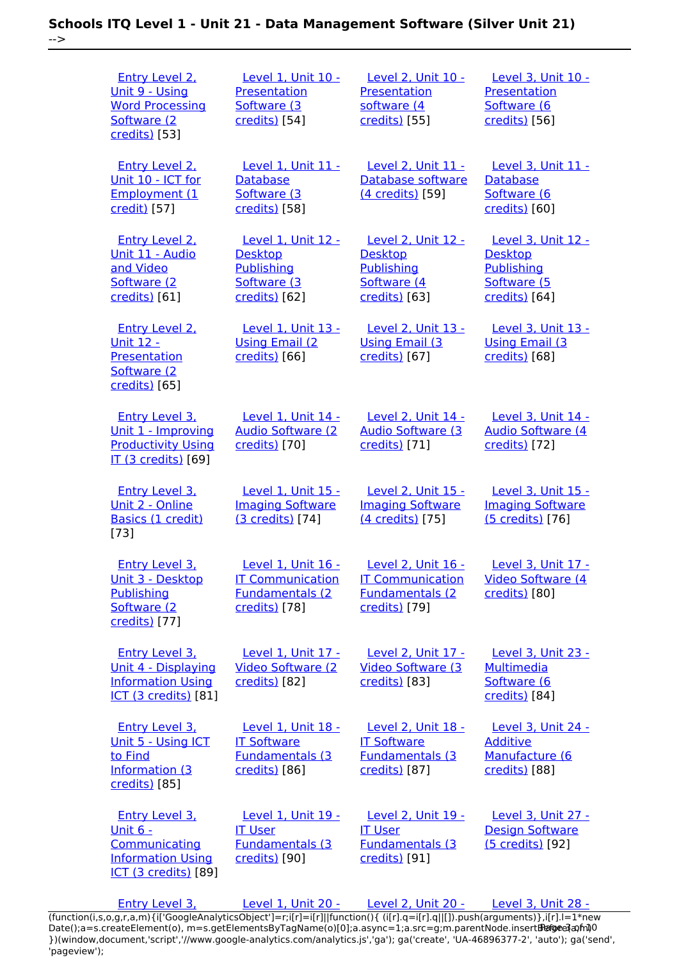-->

 [Entry Level 2,](https://theingots.org/community/siel2u9) [Unit 9 - Using](https://theingots.org/community/siel2u9) [Word Processing](https://theingots.org/community/siel2u9) [Software \(2](https://theingots.org/community/siel2u9) [credits\)](https://theingots.org/community/siel2u9) [53] [Level 1, Unit 10 -](https://theingots.org/community/sil1u10) **[Presentation](https://theingots.org/community/sil1u10)** [Software \(3](https://theingots.org/community/sil1u10) [credits\)](https://theingots.org/community/sil1u10) [54] [Level 2, Unit 10 -](https://theingots.org/community/sil2u10) [Presentation](https://theingots.org/community/sil2u10) [software \(4](https://theingots.org/community/sil2u10) [credits\)](https://theingots.org/community/sil2u10) [55] [Level 3, Unit 10 -](https://theingots.org/community/sil3u10) **[Presentation](https://theingots.org/community/sil3u10)** [Software \(6](https://theingots.org/community/sil3u10) [credits\)](https://theingots.org/community/sil3u10) [56] [Entry Level 2,](https://theingots.org/community/siel2u10) [Unit 10 - ICT for](https://theingots.org/community/siel2u10) [Employment \(1](https://theingots.org/community/siel2u10) [credit\)](https://theingots.org/community/siel2u10) [57] [Level 1, Unit 11 -](https://theingots.org/community/sil1u11) **[Database](https://theingots.org/community/sil1u11)** [Software \(3](https://theingots.org/community/sil1u11) [credits\)](https://theingots.org/community/sil1u11) [58] [Level 2, Unit 11 -](https://theingots.org/community/sil2u11) [Database software](https://theingots.org/community/sil2u11) [\(4 credits\)](https://theingots.org/community/sil2u11) [59] [Level 3, Unit 11 -](https://theingots.org/community/sil3u11) **[Database](https://theingots.org/community/sil3u11)** [Software \(6](https://theingots.org/community/sil3u11) [credits\)](https://theingots.org/community/sil3u11) [60] [Entry Level 2,](https://theingots.org/community/siel2u11) [Unit 11 - Audio](https://theingots.org/community/siel2u11) [and Video](https://theingots.org/community/siel2u11) [Software \(2](https://theingots.org/community/siel2u11) [credits\)](https://theingots.org/community/siel2u11) [61] [Level 1, Unit 12 -](https://theingots.org/community/sil1u12) **[Desktop](https://theingots.org/community/sil1u12) [Publishing](https://theingots.org/community/sil1u12)** [Software \(3](https://theingots.org/community/sil1u12) [credits\)](https://theingots.org/community/sil1u12) [62] [Level 2, Unit 12 -](https://theingots.org/community/sil2u12) **[Desktop](https://theingots.org/community/sil2u12) [Publishing](https://theingots.org/community/sil2u12)** [Software \(4](https://theingots.org/community/sil2u12) [credits\)](https://theingots.org/community/sil2u12) [63] [Level 3, Unit 12 -](https://theingots.org/community/sil3u12) **[Desktop](https://theingots.org/community/sil3u12) [Publishing](https://theingots.org/community/sil3u12)** [Software \(5](https://theingots.org/community/sil3u12) [credits\)](https://theingots.org/community/sil3u12) [64] [Entry Level 2,](https://theingots.org/community/siel2u12) [Unit 12 -](https://theingots.org/community/siel2u12) [Presentation](https://theingots.org/community/siel2u12) [Software \(2](https://theingots.org/community/siel2u12) [credits\)](https://theingots.org/community/siel2u12) [65] [Level 1, Unit 13 -](https://theingots.org/community/sil1u13) [Using Email \(2](https://theingots.org/community/sil1u13) [credits\)](https://theingots.org/community/sil1u13) [66] [Level 2, Unit 13 -](https://theingots.org/community/sil2u13) [Using Email \(3](https://theingots.org/community/sil2u13) [credits\)](https://theingots.org/community/sil2u13) [67] [Level 3, Unit 13 -](https://theingots.org/community/sil3u13) [Using Email \(3](https://theingots.org/community/sil3u13) [credits\)](https://theingots.org/community/sil3u13) [68] [Entry Level 3,](https://theingots.org/community/siel3u1) [Unit 1 - Improving](https://theingots.org/community/siel3u1) [Productivity Using](https://theingots.org/community/siel3u1) [IT \(3 credits\)](https://theingots.org/community/siel3u1) [69] [Level 1, Unit 14 -](https://theingots.org/community/sil1U14) [Audio Software \(2](https://theingots.org/community/sil1U14) [credits\)](https://theingots.org/community/sil1U14) [70] [Level 2, Unit 14 -](https://theingots.org/community/sil2u14) [Audio Software \(3](https://theingots.org/community/sil2u14) [credits\)](https://theingots.org/community/sil2u14) [71] [Level 3, Unit 14 -](https://theingots.org/community/sil3u14) [Audio Software \(4](https://theingots.org/community/sil3u14) [credits\)](https://theingots.org/community/sil3u14) [72] [Entry Level 3,](https://theingots.org/community/siel3u2) [Unit 2 - Online](https://theingots.org/community/siel3u2) [Basics \(1 credit\)](https://theingots.org/community/siel3u2) [73] [Level 1, Unit 15 -](https://theingots.org/community/sil1u15) [Imaging Software](https://theingots.org/community/sil1u15) [\(3 credits\)](https://theingots.org/community/sil1u15) [74] [Level 2, Unit 15 -](https://theingots.org/community/sil2u15) [Imaging Software](https://theingots.org/community/sil2u15) [\(4 credits\)](https://theingots.org/community/sil2u15) [75] [Level 3, Unit 15 -](https://theingots.org/community/sil3u15) [Imaging Software](https://theingots.org/community/sil3u15) [\(5 credits\)](https://theingots.org/community/sil3u15) [76] [Entry Level 3,](https://theingots.org/community/siel3u3) [Unit 3 - Desktop](https://theingots.org/community/siel3u3) **[Publishing](https://theingots.org/community/siel3u3)** [Software \(2](https://theingots.org/community/siel3u3) [credits\)](https://theingots.org/community/siel3u3) [77] [Level 1, Unit 16 -](https://theingots.org/community/sil1u16) [IT Communication](https://theingots.org/community/sil1u16) [Fundamentals \(2](https://theingots.org/community/sil1u16) [credits\)](https://theingots.org/community/sil1u16) [78] [Level 2, Unit 16 -](https://theingots.org/community/sil2u16) [IT Communication](https://theingots.org/community/sil2u16) [Fundamentals \(2](https://theingots.org/community/sil2u16) [credits\)](https://theingots.org/community/sil2u16) [79] [Level 3, Unit 17 -](https://theingots.org/community/sil3u17) [Video Software \(4](https://theingots.org/community/sil3u17) [credits\)](https://theingots.org/community/sil3u17) [80] [Entry Level 3,](https://theingots.org/community/siel3u_noprogression_1169) [Unit 4 - Displaying](https://theingots.org/community/siel3u_noprogression_1169) [Information Using](https://theingots.org/community/siel3u_noprogression_1169) [ICT \(3 credits\)](https://theingots.org/community/siel3u_noprogression_1169) [81] [Level 1, Unit 17 -](https://theingots.org/community/sil1u17) [Video Software \(2](https://theingots.org/community/sil1u17) [credits\)](https://theingots.org/community/sil1u17) [82] [Level 2, Unit 17 -](https://theingots.org/community/sil2u17) [Video Software \(3](https://theingots.org/community/sil2u17) [credits\)](https://theingots.org/community/sil2u17) [83] [Level 3, Unit 23 -](https://theingots.org/community/sil3u23) **[Multimedia](https://theingots.org/community/sil3u23)** [Software \(6](https://theingots.org/community/sil3u23) [credits\)](https://theingots.org/community/sil3u23) [84] [Entry Level 3,](https://theingots.org/community/siel3u5) [Unit 5 - Using ICT](https://theingots.org/community/siel3u5) [to Find](https://theingots.org/community/siel3u5) [Information \(3](https://theingots.org/community/siel3u5) [credits\)](https://theingots.org/community/siel3u5) [85] [Level 1, Unit 18 -](https://theingots.org/community/sil1u18) [IT Software](https://theingots.org/community/sil1u18) [Fundamentals \(3](https://theingots.org/community/sil1u18) [credits\)](https://theingots.org/community/sil1u18) [86] [Level 2, Unit 18 -](https://theingots.org/community/sil2u18) [IT Software](https://theingots.org/community/sil2u18) [Fundamentals \(3](https://theingots.org/community/sil2u18) [credits\)](https://theingots.org/community/sil2u18) [87] [Level 3, Unit 24 -](https://theingots.org/community/sil3u24) [Additive](https://theingots.org/community/sil3u24) [Manufacture \(6](https://theingots.org/community/sil3u24) [credits\)](https://theingots.org/community/sil3u24) [88] [Entry Level 3,](https://theingots.org/community/siel3u6) [Unit 6 -](https://theingots.org/community/siel3u6) **[Communicating](https://theingots.org/community/siel3u6)** [Information Using](https://theingots.org/community/siel3u6) [ICT \(3 credits\)](https://theingots.org/community/siel3u6) [89] [Level 1, Unit 19 -](https://theingots.org/community/sil1u19) [IT User](https://theingots.org/community/sil1u19) [Fundamentals \(3](https://theingots.org/community/sil1u19) [credits\)](https://theingots.org/community/sil1u19) [90] [Level 2, Unit 19 -](https://theingots.org/community/sil2u19) [IT User](https://theingots.org/community/sil2u19) [Fundamentals \(3](https://theingots.org/community/sil2u19) [credits\)](https://theingots.org/community/sil2u19) [91] [Level 3, Unit 27 -](https://theingots.org/community/sil3u27) [Design Software](https://theingots.org/community/sil3u27) [\(5 credits\)](https://theingots.org/community/sil3u27) [92]

[Entry Level 3,](https://theingots.org/community/siel3u7) [Level 1, Unit 20 -](https://theingots.org/community/sil1u20) [Level 2, Unit 20 -](https://theingots.org/community/sil2u20) [Level 3, Unit 28 -](https://theingots.org/community/sil3U28) [\(function\(i,s,o,g,r,a,m\){i\['GoogleAnalyticsObject'\]=r;i\[r\]=i\[r\]||function\(\){ \(i\[r\].q=i\[r\].q||\[\]\).push\(arguments\)},i\[r\].l=1\\*new](https://theingots.org/community/siel3u7) Date();a=s.createElement(o), m=s.getElementsByTagName(o)[0];a.async=1;a.src=g;m.parentNode.insert**Bෂ@e**ອຸໄສກ໌າ<sup>ງ</sup>0 [}\)\(window,document,'script','//www.google-analytics.com/analytics.js','ga'\); ga\('create', 'UA-46896377-2', 'auto'\); ga\('send',](https://theingots.org/community/siel3u7) ['pageview'\);](https://theingots.org/community/siel3u7)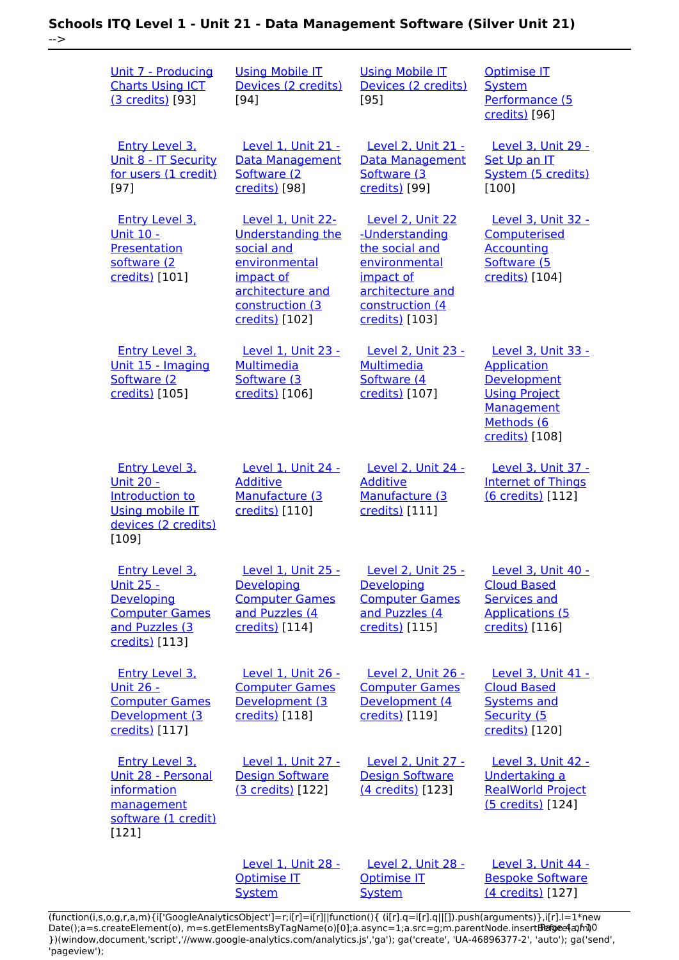-->

| Unit 7 - Producing<br><b>Charts Using ICT</b><br>(3 credits) [93]                                                       | <b>Using Mobile IT</b><br>Devices (2 credits)<br>$[94]$                                                                                            | <b>Using Mobile IT</b><br>Devices (2 credits)<br>$[95]$                                                                                     | <b>Optimise IT</b><br><b>System</b><br>Performance (5<br>credits) [96]                                                        |  |
|-------------------------------------------------------------------------------------------------------------------------|----------------------------------------------------------------------------------------------------------------------------------------------------|---------------------------------------------------------------------------------------------------------------------------------------------|-------------------------------------------------------------------------------------------------------------------------------|--|
| Entry Level 3,<br>Unit 8 - IT Security<br>for users (1 credit)<br>$[97]$                                                | <b>Level 1. Unit 21 -</b><br>Data Management<br>Software (2)<br>credits) [98]                                                                      | <b>Level 2. Unit 21 -</b><br><b>Data Management</b><br>Software (3)<br>credits) [99]                                                        | <b>Level 3. Unit 29 -</b><br>Set Up an IT<br>System (5 credits)<br>$[100]$                                                    |  |
| <b>Entry Level 3.</b><br><u> Unit 10 -</u><br>Presentation<br>software (2)<br>credits) [101]                            | Level 1, Unit 22-<br><b>Understanding the</b><br>social and<br>environmental<br>impact of<br>architecture and<br>construction (3<br>credits) [102] | Level 2, Unit 22<br>-Understanding<br>the social and<br>environmental<br>impact of<br>architecture and<br>construction (4<br>credits) [103] | <b>Level 3, Unit 32 -</b><br>Computerised<br><b>Accounting</b><br>Software (5<br>credits) [104]                               |  |
| <b>Entry Level 3.</b><br>Unit 15 - Imaging<br>Software (2<br>credits) [105]                                             | Level 1, Unit 23 -<br><b>Multimedia</b><br>Software (3)<br>credits) [106]                                                                          | <b>Level 2, Unit 23 -</b><br><b>Multimedia</b><br>Software (4<br>credits) [107]                                                             | Level 3, Unit 33 -<br><b>Application</b><br>Development<br><b>Using Project</b><br>Management<br>Methods (6<br>credits) [108] |  |
| <b>Entry Level 3.</b><br><u> Unit 20 -</u><br>Introduction to<br><b>Using mobile IT</b><br>devices (2 credits)<br>[109] | Level 1, Unit 24 -<br><b>Additive</b><br>Manufacture (3<br>credits) [110]                                                                          | <b>Level 2, Unit 24 -</b><br><b>Additive</b><br>Manufacture (3<br>credits) [111]                                                            | Level 3, Unit 37 -<br><b>Internet of Things</b><br>(6 credits) [112]                                                          |  |
| <b>Entry Level 3.</b><br><u> Unit 25 -</u><br>Developing<br><b>Computer Games</b><br>and Puzzles (3<br>credits) [113]   | Level 1, Unit 25 -<br>Developing<br><b>Computer Games</b><br>and Puzzles (4<br>credits) [114]                                                      | Level 2, Unit 25 -<br>Developing<br><b>Computer Games</b><br>and Puzzles (4<br>credits) [115]                                               | <b>Level 3, Unit 40 -</b><br><b>Cloud Based</b><br><b>Services and</b><br><b>Applications (5</b><br>credits) [116]            |  |
| <b>Entry Level 3.</b><br><b>Unit 26 -</b><br><b>Computer Games</b><br>Development (3<br>credits) [117]                  | Level 1, Unit 26 -<br><b>Computer Games</b><br>Development (3<br>credits) [118]                                                                    | Level 2, Unit 26 -<br><b>Computer Games</b><br>Development (4<br>credits) [119]                                                             | Level 3, Unit 41 -<br><b>Cloud Based</b><br><b>Systems and</b><br>Security (5<br>credits) [120]                               |  |
| <b>Entry Level 3.</b><br>Unit 28 - Personal<br>information<br>management<br>software (1 credit)<br>[121]                | Level 1, Unit 27 -<br><b>Design Software</b><br>(3 credits) [122]                                                                                  | <b>Level 2, Unit 27 -</b><br><b>Design Software</b><br>(4 credits) [123]                                                                    | <b>Level 3, Unit 42 -</b><br>Undertaking a<br><b>RealWorld Project</b><br>(5 credits) [124]                                   |  |
|                                                                                                                         | Level 1, Unit 28 -<br><b>Optimise IT</b><br><b>System</b>                                                                                          | Level 2, Unit 28 -<br><b>Optimise IT</b><br><b>System</b>                                                                                   | <b>Level 3, Unit 44 -</b><br><b>Bespoke Software</b><br>(4 credits) [127]                                                     |  |

[\(function\(i,s,o,g,r,a,m\){i\['GoogleAnalyticsObject'\]=r;i\[r\]=i\[r\]||function\(\){ \(i\[r\].q=i\[r\].q||\[\]\).push\(arguments\)},i\[r\].l=1\\*new](https://theingots.org/community/sil1u28) Date();a=s.createElement(o), m=s.getElementsByTagName(o)[0];a.async=1;a.src=g;m.parentNode.insert**Bෂ@ee{**aንከቅ [}\)\(window,document,'script','//www.google-analytics.com/analytics.js','ga'\); ga\('create', 'UA-46896377-2', 'auto'\); ga\('send',](https://theingots.org/community/sil1u28) ['pageview'\);](https://theingots.org/community/sil1u28) Page 4 of 10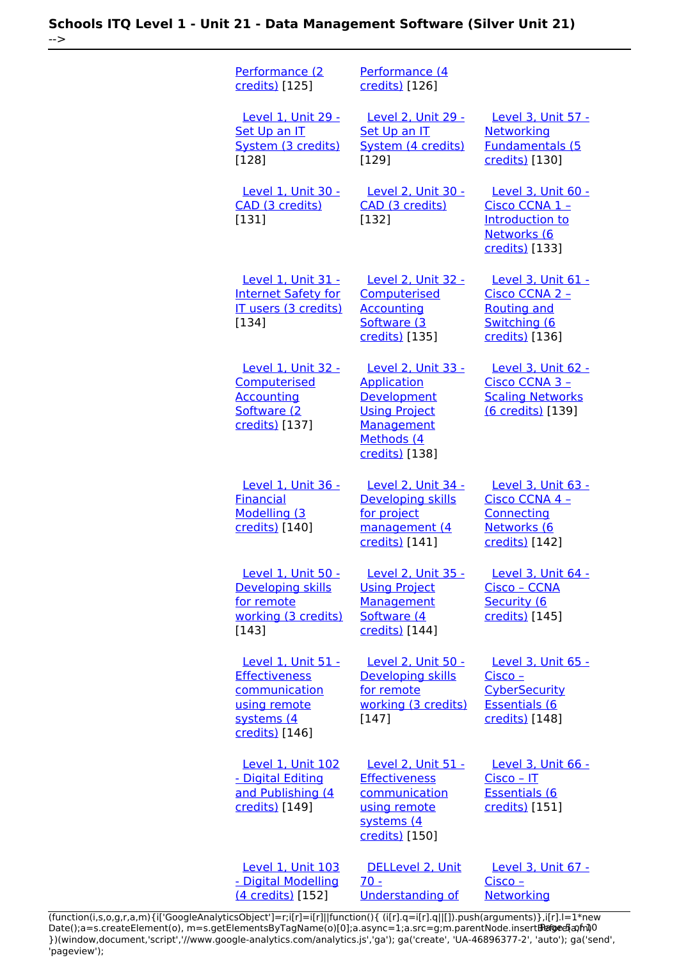-->

| Performance (2<br>credits) [125]                                                                            | Performance (4<br>credits) [126]                                                                                                     |                                                                                                 |
|-------------------------------------------------------------------------------------------------------------|--------------------------------------------------------------------------------------------------------------------------------------|-------------------------------------------------------------------------------------------------|
| <b>Level 1, Unit 29 -</b><br>Set Up an IT<br>System (3 credits)<br>[128]                                    | <b>Level 2, Unit 29 -</b><br>Set Up an IT<br>System (4 credits)<br>[129]                                                             | <b>Level 3, Unit 57 -</b><br><b>Networking</b><br><b>Fundamentals (5</b><br>credits) [130]      |
| Level 1, Unit 30 -<br>CAD (3 credits)<br>$[131]$                                                            | Level 2, Unit 30 -<br>CAD (3 credits)<br>[132]                                                                                       | Level 3, Unit 60 -<br>Cisco CCNA 1 -<br>Introduction to<br>Networks (6<br>credits) [133]        |
| Level 1, Unit 31 -<br><b>Internet Safety for</b><br>IT users (3 credits)<br>$[134]$                         | <b>Level 2, Unit 32 -</b><br>Computerised<br><b>Accounting</b><br>Software (3<br>credits) [135]                                      | Level 3, Unit 61 -<br>Cisco CCNA 2 -<br><b>Routing and</b><br>Switching (6<br>credits) [136]    |
| Level 1, Unit 32 -<br>Computerised<br><b>Accounting</b><br>Software (2<br>credits) [137]                    | Level 2, Unit 33 -<br><b>Application</b><br><b>Development</b><br><b>Using Project</b><br>Management<br>Methods (4<br>credits) [138] | Level 3, Unit 62 -<br>Cisco CCNA 3 -<br><b>Scaling Networks</b><br>(6 credits) [139]            |
| Level 1, Unit 36 -<br><b>Financial</b><br>Modelling (3<br>credits) [140]                                    | Level 2, Unit 34 -<br>Developing skills<br>for project<br>management (4<br>credits) [141]                                            | Level 3, Unit 63 -<br>Cisco CCNA 4 -<br>Connecting<br>Networks (6<br>credits) [142]             |
| Level 1, Unit 50 -<br><b>Developing skills</b><br>for remote<br>working (3 credits)<br>[143]                | Level 2, Unit 35 -<br><b>Using Project</b><br>Management<br>Software (4<br>credits) [144]                                            | Level 3, Unit 64 -<br>Cisco - CCNA<br>Security (6<br>credits) [145]                             |
| Level 1, Unit 51 -<br><b>Effectiveness</b><br>communication<br>using remote<br>systems (4<br>credits) [146] | Level 2, Unit 50 -<br>Developing skills<br>for remote<br>working (3 credits)<br>$[147]$                                              | Level 3, Unit 65 -<br>Cisco -<br><b>CyberSecurity</b><br><b>Essentials (6</b><br>credits) [148] |
| Level 1, Unit 102<br>- Digital Editing<br>and Publishing (4<br>credits) [149]                               | Level 2, Unit 51 -<br><b>Effectiveness</b><br>communication<br>using remote<br>systems (4<br>credits) [150]                          | Level 3, Unit 66 -<br>$Cisco - IT$<br><b>Essentials (6</b><br>credits) [151]                    |
| Level 1, Unit 103<br>- Digital Modelling<br>(4 credits) [152]                                               | DELLevel 2, Unit<br>$70 -$<br><b>Understanding of</b>                                                                                | Level 3, Unit 67 -<br>Cisco -<br>Networking                                                     |

[\(function\(i,s,o,g,r,a,m\){i\['GoogleAnalyticsObject'\]=r;i\[r\]=i\[r\]||function\(\){ \(i\[r\].q=i\[r\].q||\[\]\).push\(arguments\)},i\[r\].l=1\\*new](https://theingots.org/community/sil2u70) Date();a=s.createElement(o), m=s.getElementsByTagName(o)[0];a.async=1;a.src=g;m.parentNode.insert**Before**e(a,m) [}\)\(window,document,'script','//www.google-analytics.com/analytics.js','ga'\); ga\('create', 'UA-46896377-2', 'auto'\); ga\('send',](https://theingots.org/community/sil2u70) ['pageview'\);](https://theingots.org/community/sil2u70) Pagoreda, fnl)0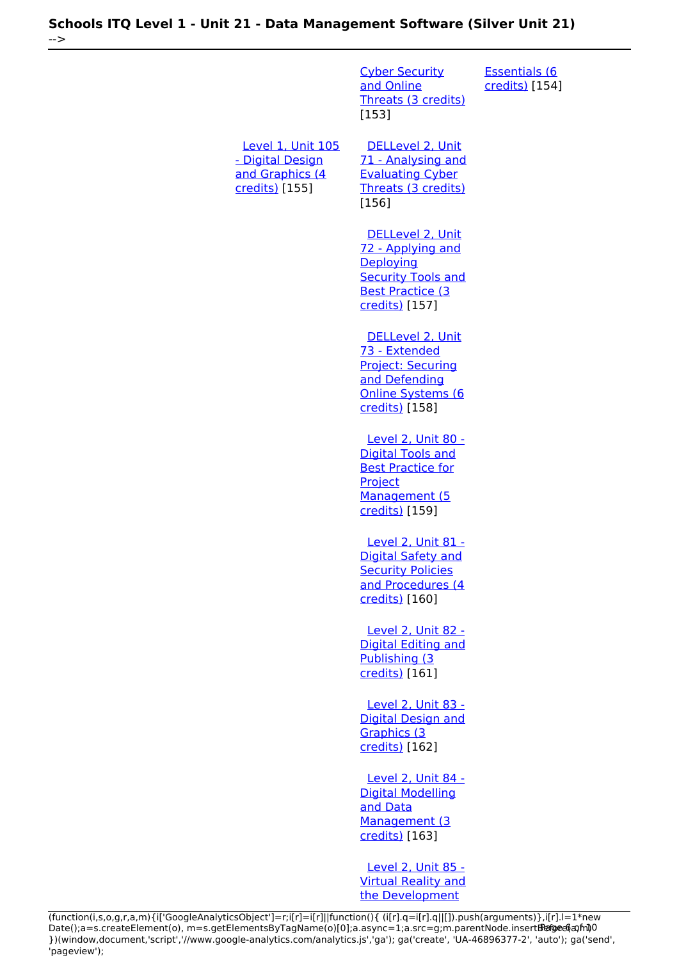[Cyber Security](https://theingots.org/community/sil2u70) [and Online](https://theingots.org/community/sil2u70) [Threats \(3 credits\)](https://theingots.org/community/sil2u70) [153] [Essentials \(6](https://theingots.org/community/sil3u67) [credits\)](https://theingots.org/community/sil3u67) [154] [Level 1, Unit 105](https://theingots.org/community/sil1u105) [- Digital Design](https://theingots.org/community/sil1u105) [and Graphics \(4](https://theingots.org/community/sil1u105) [credits\)](https://theingots.org/community/sil1u105) [155] [DELLevel 2, Unit](https://theingots.org/community/sil2u71) [71 - Analysing and](https://theingots.org/community/sil2u71) [Evaluating Cyber](https://theingots.org/community/sil2u71) [Threats \(3 credits\)](https://theingots.org/community/sil2u71) [156] [DELLevel 2, Unit](https://theingots.org/community/sil2u72) [72 - Applying and](https://theingots.org/community/sil2u72) **[Deploying](https://theingots.org/community/sil2u72) [Security Tools and](https://theingots.org/community/sil2u72)** [Best Practice \(3](https://theingots.org/community/sil2u72) [credits\)](https://theingots.org/community/sil2u72) [157] [DELLevel 2, Unit](https://theingots.org/community/sil2u73) [73 - Extended](https://theingots.org/community/sil2u73) [Project: Securing](https://theingots.org/community/sil2u73) [and Defending](https://theingots.org/community/sil2u73) [Online Systems \(6](https://theingots.org/community/sil2u73) [credits\)](https://theingots.org/community/sil2u73) [158] [Level 2, Unit 80 -](https://theingots.org/community/sil2u80) [Digital Tools and](https://theingots.org/community/sil2u80) [Best Practice for](https://theingots.org/community/sil2u80) **[Project](https://theingots.org/community/sil2u80)** [Management \(5](https://theingots.org/community/sil2u80) [credits\)](https://theingots.org/community/sil2u80) [159] [Level 2, Unit 81 -](https://theingots.org/community/sil2u81) [Digital Safety and](https://theingots.org/community/sil2u81) **[Security Policies](https://theingots.org/community/sil2u81)** [and Procedures \(4](https://theingots.org/community/sil2u81) [credits\)](https://theingots.org/community/sil2u81) [160] [Level 2, Unit 82 -](https://theingots.org/community/sil2u82) [Digital Editing and](https://theingots.org/community/sil2u82) [Publishing \(3](https://theingots.org/community/sil2u82) [credits\)](https://theingots.org/community/sil2u82) [161] [Level 2, Unit 83 -](https://theingots.org/community/sil2u83) [Digital Design and](https://theingots.org/community/sil2u83) [Graphics \(3](https://theingots.org/community/sil2u83) [credits\)](https://theingots.org/community/sil2u83) [162] [Level 2, Unit 84 -](https://theingots.org/community/sil2u84) [Digital Modelling](https://theingots.org/community/sil2u84) [and Data](https://theingots.org/community/sil2u84) [Management \(3](https://theingots.org/community/sil2u84) [credits\)](https://theingots.org/community/sil2u84) [163]

 [Level 2, Unit 85 -](https://theingots.org/community/sil2u85) [Virtual Reality and](https://theingots.org/community/sil2u85) [the Development](https://theingots.org/community/sil2u85)

-->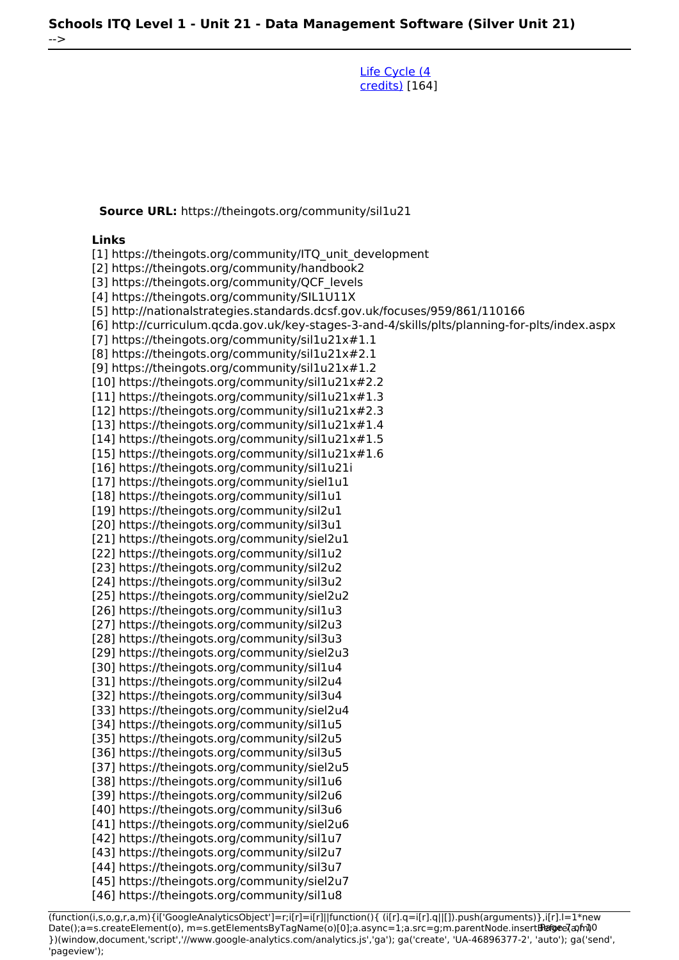[Life Cycle \(4](https://theingots.org/community/sil2u85) [credits\)](https://theingots.org/community/sil2u85) [164]

**Source URL:** https://theingots.org/community/sil1u21

#### **Links**

-->

[1] https://theingots.org/community/ITQ\_unit\_development [2] https://theingots.org/community/handbook2 [3] https://theingots.org/community/QCF\_levels [4] https://theingots.org/community/SIL1U11X [5] http://nationalstrategies.standards.dcsf.gov.uk/focuses/959/861/110166 [6] http://curriculum.qcda.gov.uk/key-stages-3-and-4/skills/plts/planning-for-plts/index.aspx [7] https://theingots.org/community/sil1u21x#1.1 [8] https://theingots.org/community/sil1u21x#2.1 [9] https://theingots.org/community/sil1u21x#1.2 [10] https://theingots.org/community/sil1u21x#2.2 [11] https://theingots.org/community/sil1u21x#1.3 [12] https://theingots.org/community/sil1u21x#2.3 [13] https://theingots.org/community/sil1u21x#1.4 [14] https://theingots.org/community/sil1u21x#1.5 [15] https://theingots.org/community/sil1u21x#1.6 [16] https://theingots.org/community/sil1u21i [17] https://theingots.org/community/siel1u1 [18] https://theingots.org/community/sil1u1 [19] https://theingots.org/community/sil2u1 [20] https://theingots.org/community/sil3u1 [21] https://theingots.org/community/siel2u1 [22] https://theingots.org/community/sil1u2 [23] https://theingots.org/community/sil2u2 [24] https://theingots.org/community/sil3u2 [25] https://theingots.org/community/siel2u2 [26] https://theingots.org/community/sil1u3 [27] https://theingots.org/community/sil2u3 [28] https://theingots.org/community/sil3u3 [29] https://theingots.org/community/siel2u3 [30] https://theingots.org/community/sil1u4 [31] https://theingots.org/community/sil2u4 [32] https://theingots.org/community/sil3u4 [33] https://theingots.org/community/siel2u4 [34] https://theingots.org/community/sil1u5 [35] https://theingots.org/community/sil2u5 [36] https://theingots.org/community/sil3u5 [37] https://theingots.org/community/siel2u5 [38] https://theingots.org/community/sil1u6 [39] https://theingots.org/community/sil2u6 [40] https://theingots.org/community/sil3u6 [41] https://theingots.org/community/siel2u6 [42] https://theingots.org/community/sil1u7 [43] https://theingots.org/community/sil2u7 [44] https://theingots.org/community/sil3u7

(function(i,s,o,g,r,a,m){i['GoogleAnalyticsObject']=r;i[r]=i[r]||function(){ (i[r].q=i[r].q||[]).push(arguments)},i[r].l=1\*new Date();a=s.createElement(o), m=s.getElementsByTagName(o)[0];a.async=1;a.src=g;m.parentNode.insert**Before**(apfn)0 })(window,document,'script','//www.google-analytics.com/analytics.js','ga'); ga('create', 'UA-46896377-2', 'auto'); ga('send', 'pageview');

[45] https://theingots.org/community/siel2u7 [46] https://theingots.org/community/sil1u8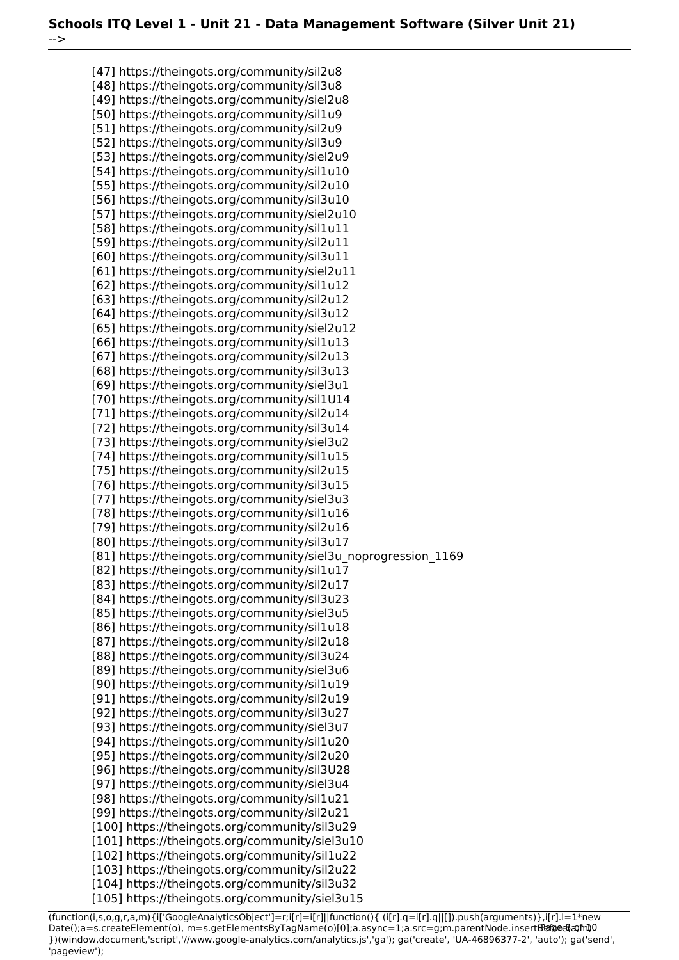-->

[47] https://theingots.org/community/sil2u8 [48] https://theingots.org/community/sil3u8 [49] https://theingots.org/community/siel2u8 [50] https://theingots.org/community/sil1u9 [51] https://theingots.org/community/sil2u9 [52] https://theingots.org/community/sil3u9 [53] https://theingots.org/community/siel2u9 [54] https://theingots.org/community/sil1u10 [55] https://theingots.org/community/sil2u10 [56] https://theingots.org/community/sil3u10 [57] https://theingots.org/community/siel2u10 [58] https://theingots.org/community/sil1u11 [59] https://theingots.org/community/sil2u11 [60] https://theingots.org/community/sil3u11 [61] https://theingots.org/community/siel2u11 [62] https://theingots.org/community/sil1u12 [63] https://theingots.org/community/sil2u12 [64] https://theingots.org/community/sil3u12 [65] https://theingots.org/community/siel2u12 [66] https://theingots.org/community/sil1u13 [67] https://theingots.org/community/sil2u13 [68] https://theingots.org/community/sil3u13 [69] https://theingots.org/community/siel3u1 [70] https://theingots.org/community/sil1U14 [71] https://theingots.org/community/sil2u14 [72] https://theingots.org/community/sil3u14 [73] https://theingots.org/community/siel3u2 [74] https://theingots.org/community/sil1u15 [75] https://theingots.org/community/sil2u15 [76] https://theingots.org/community/sil3u15 [77] https://theingots.org/community/siel3u3 [78] https://theingots.org/community/sil1u16 [79] https://theingots.org/community/sil2u16 [80] https://theingots.org/community/sil3u17 [81] https://theingots.org/community/siel3u\_noprogression\_1169 [82] https://theingots.org/community/sil1u17 [83] https://theingots.org/community/sil2u17 [84] https://theingots.org/community/sil3u23 [85] https://theingots.org/community/siel3u5 [86] https://theingots.org/community/sil1u18 [87] https://theingots.org/community/sil2u18 [88] https://theingots.org/community/sil3u24 [89] https://theingots.org/community/siel3u6 [90] https://theingots.org/community/sil1u19 [91] https://theingots.org/community/sil2u19 [92] https://theingots.org/community/sil3u27 [93] https://theingots.org/community/siel3u7 [94] https://theingots.org/community/sil1u20 [95] https://theingots.org/community/sil2u20 [96] https://theingots.org/community/sil3U28 [97] https://theingots.org/community/siel3u4 [98] https://theingots.org/community/sil1u21 [99] https://theingots.org/community/sil2u21 [100] https://theingots.org/community/sil3u29 [101] https://theingots.org/community/siel3u10 [102] https://theingots.org/community/sil1u22 [103] https://theingots.org/community/sil2u22 [104] https://theingots.org/community/sil3u32 [105] https://theingots.org/community/siel3u15

(function(i,s,o,g,r,a,m){i['GoogleAnalyticsObject']=r;i[r]=i[r]||function(){ (i[r].q=i[r].q||[]).push(arguments)},i[r].l=1\*new Date();a=s.createElement(o), m=s.getElementsByTagName(o)[0];a.async=1;a.src=g;m.parentNode.insert**Bෂ@e**&aภ*f*ii)0 })(window,document,'script','//www.google-analytics.com/analytics.js','ga'); ga('create', 'UA-46896377-2', 'auto'); ga('send', 'pageview');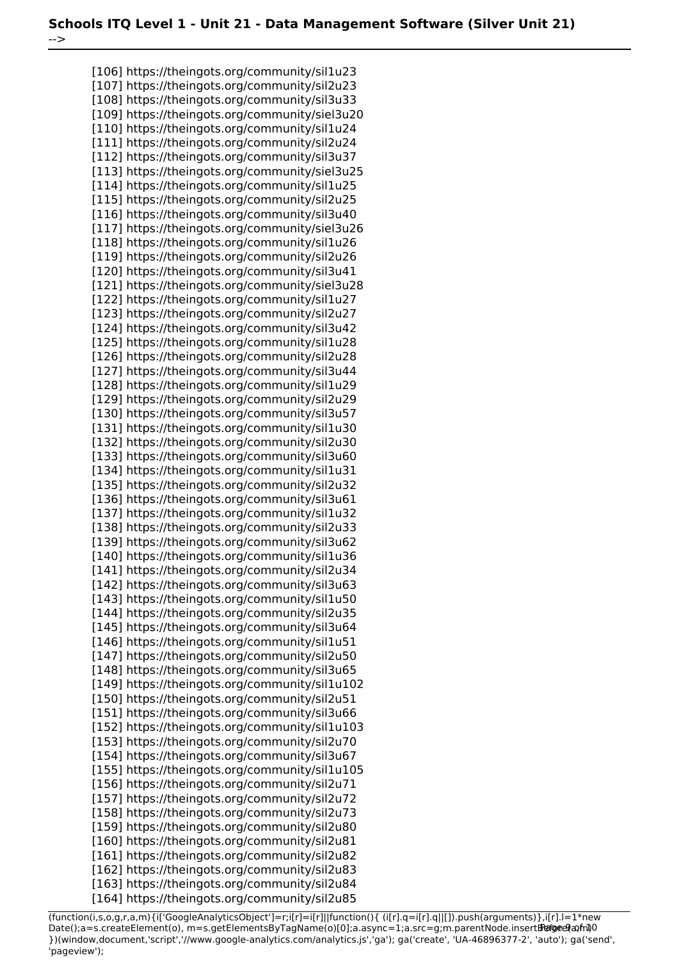[106] https://theingots.org/community/sil1u23 [107] https://theingots.org/community/sil2u23 [108] https://theingots.org/community/sil3u33 [109] https://theingots.org/community/siel3u20 [110] https://theingots.org/community/sil1u24 [111] https://theingots.org/community/sil2u24 [112] https://theingots.org/community/sil3u37 [113] https://theingots.org/community/siel3u25 [114] https://theingots.org/community/sil1u25 [115] https://theingots.org/community/sil2u25 [116] https://theingots.org/community/sil3u40 [117] https://theingots.org/community/siel3u26 [118] https://theingots.org/community/sil1u26 [119] https://theingots.org/community/sil2u26 [120] https://theingots.org/community/sil3u41 [121] https://theingots.org/community/siel3u28 [122] https://theingots.org/community/sil1u27 [123] https://theingots.org/community/sil2u27 [124] https://theingots.org/community/sil3u42 [125] https://theingots.org/community/sil1u28 [126] https://theingots.org/community/sil2u28 [127] https://theingots.org/community/sil3u44 [128] https://theingots.org/community/sil1u29 [129] https://theingots.org/community/sil2u29 [130] https://theingots.org/community/sil3u57 [131] https://theingots.org/community/sil1u30 [132] https://theingots.org/community/sil2u30 [133] https://theingots.org/community/sil3u60 [134] https://theingots.org/community/sil1u31 [135] https://theingots.org/community/sil2u32 [136] https://theingots.org/community/sil3u61 [137] https://theingots.org/community/sil1u32 [138] https://theingots.org/community/sil2u33 [139] https://theingots.org/community/sil3u62 [140] https://theingots.org/community/sil1u36 [141] https://theingots.org/community/sil2u34 [142] https://theingots.org/community/sil3u63 [143] https://theingots.org/community/sil1u50 [144] https://theingots.org/community/sil2u35 [145] https://theingots.org/community/sil3u64 [146] https://theingots.org/community/sil1u51 [147] https://theingots.org/community/sil2u50 [148] https://theingots.org/community/sil3u65 [149] https://theingots.org/community/sil1u102 [150] https://theingots.org/community/sil2u51 [151] https://theingots.org/community/sil3u66 [152] https://theingots.org/community/sil1u103 [153] https://theingots.org/community/sil2u70 [154] https://theingots.org/community/sil3u67 [155] https://theingots.org/community/sil1u105 [156] https://theingots.org/community/sil2u71 [157] https://theingots.org/community/sil2u72 [158] https://theingots.org/community/sil2u73 [159] https://theingots.org/community/sil2u80 [160] https://theingots.org/community/sil2u81 [161] https://theingots.org/community/sil2u82 [162] https://theingots.org/community/sil2u83 [163] https://theingots.org/community/sil2u84 [164] https://theingots.org/community/sil2u85

-->

(function(i,s,o,g,r,a,m){i['GoogleAnalyticsObject']=r;i[r]=i[r]||function(){ (i[r].q=i[r].q||[]).push(arguments)},i[r].l=1\*new Date();a=s.createElement(o), m=s.getElementsByTagName(o)[0];a.async=1;a.src=g;m.parentNode.insert**Bෂ@e**ේ ආከ $\emptyset$ 0 })(window,document,'script','//www.google-analytics.com/analytics.js','ga'); ga('create', 'UA-46896377-2', 'auto'); ga('send', 'pageview');